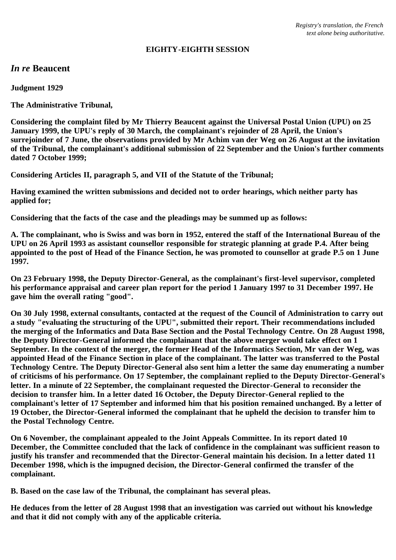### **EIGHTY-EIGHTH SESSION**

# *In re* **Beaucent**

**Judgment 1929**

**The Administrative Tribunal,**

**Considering the complaint filed by Mr Thierry Beaucent against the Universal Postal Union (UPU) on 25 January 1999, the UPU's reply of 30 March, the complainant's rejoinder of 28 April, the Union's surrejoinder of 7 June, the observations provided by Mr Achim van der Weg on 26 August at the invitation of the Tribunal, the complainant's additional submission of 22 September and the Union's further comments dated 7 October 1999;**

**Considering Articles II, paragraph 5, and VII of the Statute of the Tribunal;**

**Having examined the written submissions and decided not to order hearings, which neither party has applied for;**

**Considering that the facts of the case and the pleadings may be summed up as follows:**

**A. The complainant, who is Swiss and was born in 1952, entered the staff of the International Bureau of the UPU on 26 April 1993 as assistant counsellor responsible for strategic planning at grade P.4. After being appointed to the post of Head of the Finance Section, he was promoted to counsellor at grade P.5 on 1 June 1997.**

**On 23 February 1998, the Deputy Director-General, as the complainant's first-level supervisor, completed his performance appraisal and career plan report for the period 1 January 1997 to 31 December 1997. He gave him the overall rating "good".**

**On 30 July 1998, external consultants, contacted at the request of the Council of Administration to carry out a study "evaluating the structuring of the UPU", submitted their report. Their recommendations included the merging of the Informatics and Data Base Section and the Postal Technology Centre. On 28 August 1998, the Deputy Director-General informed the complainant that the above merger would take effect on 1 September. In the context of the merger, the former Head of the Informatics Section, Mr van der Weg, was appointed Head of the Finance Section in place of the complainant. The latter was transferred to the Postal Technology Centre. The Deputy Director-General also sent him a letter the same day enumerating a number of criticisms of his performance. On 17 September, the complainant replied to the Deputy Director-General's letter. In a minute of 22 September, the complainant requested the Director-General to reconsider the decision to transfer him. In a letter dated 16 October, the Deputy Director-General replied to the complainant's letter of 17 September and informed him that his position remained unchanged. By a letter of 19 October, the Director-General informed the complainant that he upheld the decision to transfer him to the Postal Technology Centre.**

**On 6 November, the complainant appealed to the Joint Appeals Committee. In its report dated 10 December, the Committee concluded that the lack of confidence in the complainant was sufficient reason to justify his transfer and recommended that the Director-General maintain his decision. In a letter dated 11 December 1998, which is the impugned decision, the Director-General confirmed the transfer of the complainant.**

**B. Based on the case law of the Tribunal, the complainant has several pleas.**

**He deduces from the letter of 28 August 1998 that an investigation was carried out without his knowledge and that it did not comply with any of the applicable criteria.**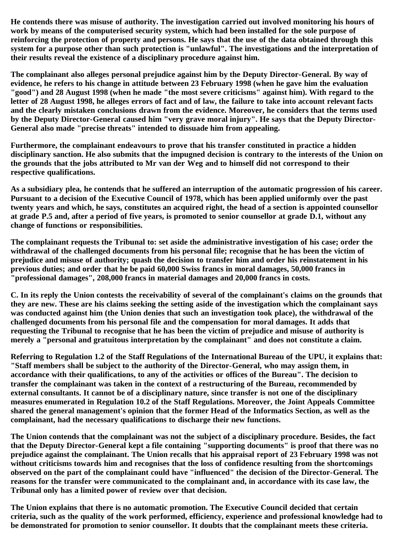**He contends there was misuse of authority. The investigation carried out involved monitoring his hours of work by means of the computerised security system, which had been installed for the sole purpose of reinforcing the protection of property and persons. He says that the use of the data obtained through this system for a purpose other than such protection is "unlawful". The investigations and the interpretation of their results reveal the existence of a disciplinary procedure against him.**

**The complainant also alleges personal prejudice against him by the Deputy Director-General. By way of evidence, he refers to his change in attitude between 23 February 1998 (when he gave him the evaluation "good") and 28 August 1998 (when he made "the most severe criticisms" against him). With regard to the letter of 28 August 1998, he alleges errors of fact and of law, the failure to take into account relevant facts and the clearly mistaken conclusions drawn from the evidence. Moreover, he considers that the terms used by the Deputy Director-General caused him "very grave moral injury". He says that the Deputy Director-General also made "precise threats" intended to dissuade him from appealing.**

**Furthermore, the complainant endeavours to prove that his transfer constituted in practice a hidden disciplinary sanction. He also submits that the impugned decision is contrary to the interests of the Union on the grounds that the jobs attributed to Mr van der Weg and to himself did not correspond to their respective qualifications.**

**As a subsidiary plea, he contends that he suffered an interruption of the automatic progression of his career. Pursuant to a decision of the Executive Council of 1978, which has been applied uniformly over the past twenty years and which, he says, constitutes an acquired right, the head of a section is appointed counsellor at grade P.5 and, after a period of five years, is promoted to senior counsellor at grade D.1, without any change of functions or responsibilities.**

**The complainant requests the Tribunal to: set aside the administrative investigation of his case; order the withdrawal of the challenged documents from his personal file; recognise that he has been the victim of prejudice and misuse of authority; quash the decision to transfer him and order his reinstatement in his previous duties; and order that he be paid 60,000 Swiss francs in moral damages, 50,000 francs in "professional damages", 208,000 francs in material damages and 20,000 francs in costs.**

**C. In its reply the Union contests the receivability of several of the complainant's claims on the grounds that they are new. These are his claims seeking the setting aside of the investigation which the complainant says was conducted against him (the Union denies that such an investigation took place), the withdrawal of the challenged documents from his personal file and the compensation for moral damages. It adds that requesting the Tribunal to recognise that he has been the victim of prejudice and misuse of authority is merely a "personal and gratuitous interpretation by the complainant" and does not constitute a claim.**

**Referring to Regulation 1.2 of the Staff Regulations of the International Bureau of the UPU, it explains that: "Staff members shall be subject to the authority of the Director-General, who may assign them, in accordance with their qualifications, to any of the activities or offices of the Bureau". The decision to transfer the complainant was taken in the context of a restructuring of the Bureau, recommended by external consultants. It cannot be of a disciplinary nature, since transfer is not one of the disciplinary measures enumerated in Regulation 10.2 of the Staff Regulations. Moreover, the Joint Appeals Committee shared the general management's opinion that the former Head of the Informatics Section, as well as the complainant, had the necessary qualifications to discharge their new functions.**

**The Union contends that the complainant was not the subject of a disciplinary procedure. Besides, the fact that the Deputy Director-General kept a file containing "supporting documents" is proof that there was no prejudice against the complainant. The Union recalls that his appraisal report of 23 February 1998 was not without criticisms towards him and recognises that the loss of confidence resulting from the shortcomings observed on the part of the complainant could have "influenced" the decision of the Director-General. The reasons for the transfer were communicated to the complainant and, in accordance with its case law, the Tribunal only has a limited power of review over that decision.**

**The Union explains that there is no automatic promotion. The Executive Council decided that certain criteria, such as the quality of the work performed, efficiency, experience and professional knowledge had to be demonstrated for promotion to senior counsellor. It doubts that the complainant meets these criteria.**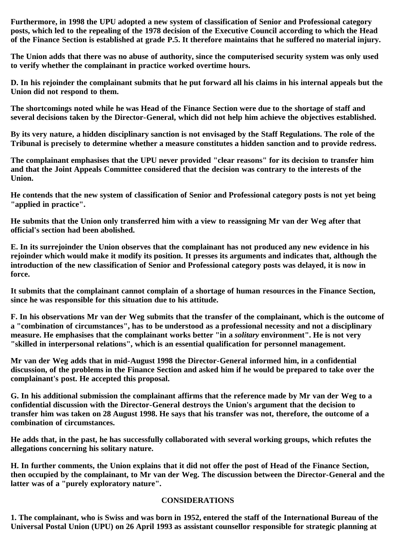**Furthermore, in 1998 the UPU adopted a new system of classification of Senior and Professional category posts, which led to the repealing of the 1978 decision of the Executive Council according to which the Head of the Finance Section is established at grade P.5. It therefore maintains that he suffered no material injury.**

**The Union adds that there was no abuse of authority, since the computerised security system was only used to verify whether the complainant in practice worked overtime hours.**

**D. In his rejoinder the complainant submits that he put forward all his claims in his internal appeals but the Union did not respond to them.**

**The shortcomings noted while he was Head of the Finance Section were due to the shortage of staff and several decisions taken by the Director-General, which did not help him achieve the objectives established.**

**By its very nature, a hidden disciplinary sanction is not envisaged by the Staff Regulations. The role of the Tribunal is precisely to determine whether a measure constitutes a hidden sanction and to provide redress.**

**The complainant emphasises that the UPU never provided "clear reasons" for its decision to transfer him and that the Joint Appeals Committee considered that the decision was contrary to the interests of the Union.**

**He contends that the new system of classification of Senior and Professional category posts is not yet being "applied in practice".**

**He submits that the Union only transferred him with a view to reassigning Mr van der Weg after that official's section had been abolished.**

**E. In its surrejoinder the Union observes that the complainant has not produced any new evidence in his rejoinder which would make it modify its position. It presses its arguments and indicates that, although the introduction of the new classification of Senior and Professional category posts was delayed, it is now in force.**

**It submits that the complainant cannot complain of a shortage of human resources in the Finance Section, since he was responsible for this situation due to his attitude.**

**F. In his observations Mr van der Weg submits that the transfer of the complainant, which is the outcome of a "combination of circumstances", has to be understood as a professional necessity and not a disciplinary measure. He emphasises that the complainant works better "in a** *solitary* **environment". He is not very "skilled in interpersonal relations", which is an essential qualification for personnel management.**

**Mr van der Weg adds that in mid-August 1998 the Director-General informed him, in a confidential discussion, of the problems in the Finance Section and asked him if he would be prepared to take over the complainant's post. He accepted this proposal.**

**G. In his additional submission the complainant affirms that the reference made by Mr van der Weg to a confidential discussion with the Director-General destroys the Union's argument that the decision to transfer him was taken on 28 August 1998. He says that his transfer was not, therefore, the outcome of a combination of circumstances.**

**He adds that, in the past, he has successfully collaborated with several working groups, which refutes the allegations concerning his solitary nature.**

**H. In further comments, the Union explains that it did not offer the post of Head of the Finance Section, then occupied by the complainant, to Mr van der Weg. The discussion between the Director-General and the latter was of a "purely exploratory nature".**

#### **CONSIDERATIONS**

**1. The complainant, who is Swiss and was born in 1952, entered the staff of the International Bureau of the Universal Postal Union (UPU) on 26 April 1993 as assistant counsellor responsible for strategic planning at**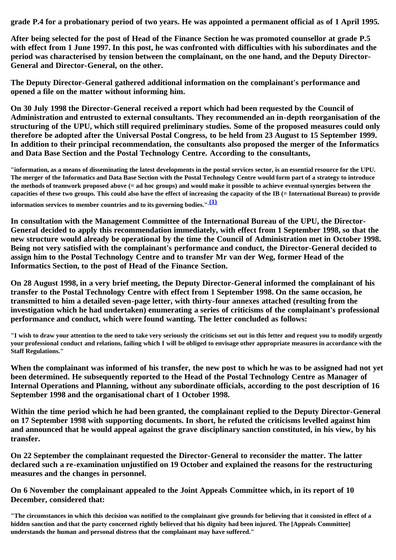**grade P.4 for a probationary period of two years. He was appointed a permanent official as of 1 April 1995.**

**After being selected for the post of Head of the Finance Section he was promoted counsellor at grade P.5 with effect from 1 June 1997. In this post, he was confronted with difficulties with his subordinates and the period was characterised by tension between the complainant, on the one hand, and the Deputy Director-General and Director-General, on the other.**

**The Deputy Director-General gathered additional information on the complainant's performance and opened a file on the matter without informing him.**

**On 30 July 1998 the Director-General received a report which had been requested by the Council of Administration and entrusted to external consultants. They recommended an in-depth reorganisation of the structuring of the UPU, which still required preliminary studies. Some of the proposed measures could only therefore be adopted after the Universal Postal Congress, to be held from 23 August to 15 September 1999. In addition to their principal recommendation, the consultants also proposed the merger of the Informatics and Data Base Section and the Postal Technology Centre. According to the consultants,**

**"information, as a means of disseminating the latest developments in the postal services sector, is an essential resource for the UPU. The merger of the Informatics and Data Base Section with the Postal Technology Centre would form part of a strategy to introduce the methods of teamwork proposed above (= ad hoc groups) and would make it possible to achieve eventual synergies between the capacities of these two groups. This could also have the effect of increasing the capacity of the IB (= International Bureau) to provide**

**information services to member countries and to its governing bodies." [\(1\)](#page-6-0)**

**In consultation with the Management Committee of the International Bureau of the UPU, the Director-General decided to apply this recommendation immediately, with effect from 1 September 1998, so that the new structure would already be operational by the time the Council of Administration met in October 1998. Being not very satisfied with the complainant's performance and conduct, the Director-General decided to assign him to the Postal Technology Centre and to transfer Mr van der Weg, former Head of the Informatics Section, to the post of Head of the Finance Section.**

**On 28 August 1998, in a very brief meeting, the Deputy Director-General informed the complainant of his transfer to the Postal Technology Centre with effect from 1 September 1998. On the same occasion, he transmitted to him a detailed seven-page letter, with thirty-four annexes attached (resulting from the investigation which he had undertaken) enumerating a series of criticisms of the complainant's professional performance and conduct, which were found wanting. The letter concluded as follows:**

**"I wish to draw your attention to the need to take very seriously the criticisms set out in this letter and request you to modify urgently your professional conduct and relations, failing which I will be obliged to envisage other appropriate measures in accordance with the Staff Regulations."**

**When the complainant was informed of his transfer, the new post to which he was to be assigned had not yet been determined. He subsequently reported to the Head of the Postal Technology Centre as Manager of Internal Operations and Planning, without any subordinate officials, according to the post description of 16 September 1998 and the organisational chart of 1 October 1998.**

**Within the time period which he had been granted, the complainant replied to the Deputy Director-General on 17 September 1998 with supporting documents. In short, he refuted the criticisms levelled against him and announced that he would appeal against the grave disciplinary sanction constituted, in his view, by his transfer.**

**On 22 September the complainant requested the Director-General to reconsider the matter. The latter declared such a re-examination unjustified on 19 October and explained the reasons for the restructuring measures and the changes in personnel.**

**On 6 November the complainant appealed to the Joint Appeals Committee which, in its report of 10 December, considered that:**

**"The circumstances in which this decision was notified to the complainant give grounds for believing that it consisted in effect of a hidden sanction and that the party concerned rightly believed that his dignity had been injured. The [Appeals Committee] understands the human and personal distress that the complainant may have suffered."**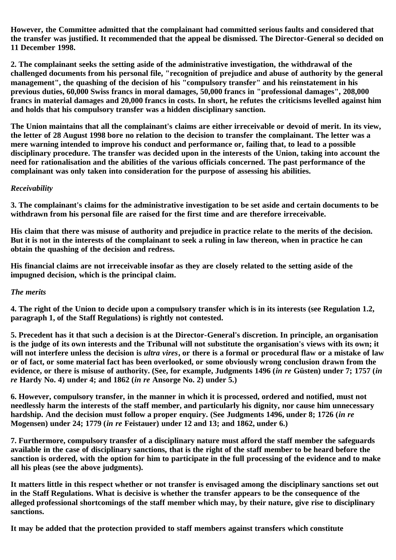**However, the Committee admitted that the complainant had committed serious faults and considered that the transfer was justified. It recommended that the appeal be dismissed. The Director-General so decided on 11 December 1998.**

**2. The complainant seeks the setting aside of the administrative investigation, the withdrawal of the challenged documents from his personal file, "recognition of prejudice and abuse of authority by the general management", the quashing of the decision of his "compulsory transfer" and his reinstatement in his previous duties, 60,000 Swiss francs in moral damages, 50,000 francs in "professional damages", 208,000 francs in material damages and 20,000 francs in costs. In short, he refutes the criticisms levelled against him and holds that his compulsory transfer was a hidden disciplinary sanction.**

**The Union maintains that all the complainant's claims are either irreceivable or devoid of merit. In its view, the letter of 28 August 1998 bore no relation to the decision to transfer the complainant. The letter was a mere warning intended to improve his conduct and performance or, failing that, to lead to a possible disciplinary procedure. The transfer was decided upon in the interests of the Union, taking into account the need for rationalisation and the abilities of the various officials concerned. The past performance of the complainant was only taken into consideration for the purpose of assessing his abilities.**

## *Receivability*

**3. The complainant's claims for the administrative investigation to be set aside and certain documents to be withdrawn from his personal file are raised for the first time and are therefore irreceivable.**

**His claim that there was misuse of authority and prejudice in practice relate to the merits of the decision. But it is not in the interests of the complainant to seek a ruling in law thereon, when in practice he can obtain the quashing of the decision and redress.**

**His financial claims are not irreceivable insofar as they are closely related to the setting aside of the impugned decision, which is the principal claim.**

## *The merits*

**4. The right of the Union to decide upon a compulsory transfer which is in its interests (see Regulation 1.2, paragraph 1, of the Staff Regulations) is rightly not contested.**

**5. Precedent has it that such a decision is at the Director-General's discretion. In principle, an organisation is the judge of its own interests and the Tribunal will not substitute the organisation's views with its own; it will not interfere unless the decision is** *ultra vires***, or there is a formal or procedural flaw or a mistake of law or of fact, or some material fact has been overlooked, or some obviously wrong conclusion drawn from the evidence, or there is misuse of authority. (See, for example, Judgments 1496 (***in re* **Güsten) under 7; 1757 (***in re* **Hardy No. 4) under 4; and 1862 (***in re* **Ansorge No. 2) under 5.)**

**6. However, compulsory transfer, in the manner in which it is processed, ordered and notified, must not needlessly harm the interests of the staff member, and particularly his dignity, nor cause him unnecessary hardship. And the decision must follow a proper enquiry. (See Judgments 1496, under 8; 1726 (***in re* **Mogensen) under 24; 1779 (***in re* **Feistauer) under 12 and 13; and 1862, under 6.)**

**7. Furthermore, compulsory transfer of a disciplinary nature must afford the staff member the safeguards available in the case of disciplinary sanctions, that is the right of the staff member to be heard before the sanction is ordered, with the option for him to participate in the full processing of the evidence and to make all his pleas (see the above judgments).**

**It matters little in this respect whether or not transfer is envisaged among the disciplinary sanctions set out in the Staff Regulations. What is decisive is whether the transfer appears to be the consequence of the alleged professional shortcomings of the staff member which may, by their nature, give rise to disciplinary sanctions.**

**It may be added that the protection provided to staff members against transfers which constitute**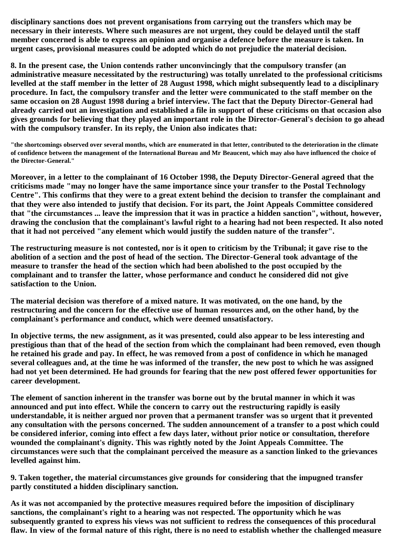**disciplinary sanctions does not prevent organisations from carrying out the transfers which may be necessary in their interests. Where such measures are not urgent, they could be delayed until the staff member concerned is able to express an opinion and organise a defence before the measure is taken. In urgent cases, provisional measures could be adopted which do not prejudice the material decision.**

**8. In the present case, the Union contends rather unconvincingly that the compulsory transfer (an administrative measure necessitated by the restructuring) was totally unrelated to the professional criticisms levelled at the staff member in the letter of 28 August 1998, which might subsequently lead to a disciplinary procedure. In fact, the compulsory transfer and the letter were communicated to the staff member on the same occasion on 28 August 1998 during a brief interview. The fact that the Deputy Director-General had already carried out an investigation and established a file in support of these criticisms on that occasion also gives grounds for believing that they played an important role in the Director-General's decision to go ahead with the compulsory transfer. In its reply, the Union also indicates that:**

**"the shortcomings observed over several months, which are enumerated in that letter, contributed to the deterioration in the climate of confidence between the management of the International Bureau and Mr Beaucent, which may also have influenced the choice of the Director-General."**

**Moreover, in a letter to the complainant of 16 October 1998, the Deputy Director-General agreed that the criticisms made "may no longer have the same importance since your transfer to the Postal Technology Centre". This confirms that they were to a great extent behind the decision to transfer the complainant and that they were also intended to justify that decision. For its part, the Joint Appeals Committee considered that "the circumstances ... leave the impression that it was in practice a hidden sanction", without, however, drawing the conclusion that the complainant's lawful right to a hearing had not been respected. It also noted that it had not perceived "any element which would justify the sudden nature of the transfer".**

**The restructuring measure is not contested, nor is it open to criticism by the Tribunal; it gave rise to the abolition of a section and the post of head of the section. The Director-General took advantage of the measure to transfer the head of the section which had been abolished to the post occupied by the complainant and to transfer the latter, whose performance and conduct he considered did not give satisfaction to the Union.**

**The material decision was therefore of a mixed nature. It was motivated, on the one hand, by the restructuring and the concern for the effective use of human resources and, on the other hand, by the complainant's performance and conduct, which were deemed unsatisfactory.**

**In objective terms, the new assignment, as it was presented, could also appear to be less interesting and prestigious than that of the head of the section from which the complainant had been removed, even though he retained his grade and pay. In effect, he was removed from a post of confidence in which he managed several colleagues and, at the time he was informed of the transfer, the new post to which he was assigned had not yet been determined. He had grounds for fearing that the new post offered fewer opportunities for career development.**

**The element of sanction inherent in the transfer was borne out by the brutal manner in which it was announced and put into effect. While the concern to carry out the restructuring rapidly is easily understandable, it is neither argued nor proven that a permanent transfer was so urgent that it prevented any consultation with the persons concerned. The sudden announcement of a transfer to a post which could be considered inferior, coming into effect a few days later, without prior notice or consultation, therefore wounded the complainant's dignity. This was rightly noted by the Joint Appeals Committee. The circumstances were such that the complainant perceived the measure as a sanction linked to the grievances levelled against him.**

**9. Taken together, the material circumstances give grounds for considering that the impugned transfer partly constituted a hidden disciplinary sanction.**

**As it was not accompanied by the protective measures required before the imposition of disciplinary sanctions, the complainant's right to a hearing was not respected. The opportunity which he was subsequently granted to express his views was not sufficient to redress the consequences of this procedural flaw. In view of the formal nature of this right, there is no need to establish whether the challenged measure**